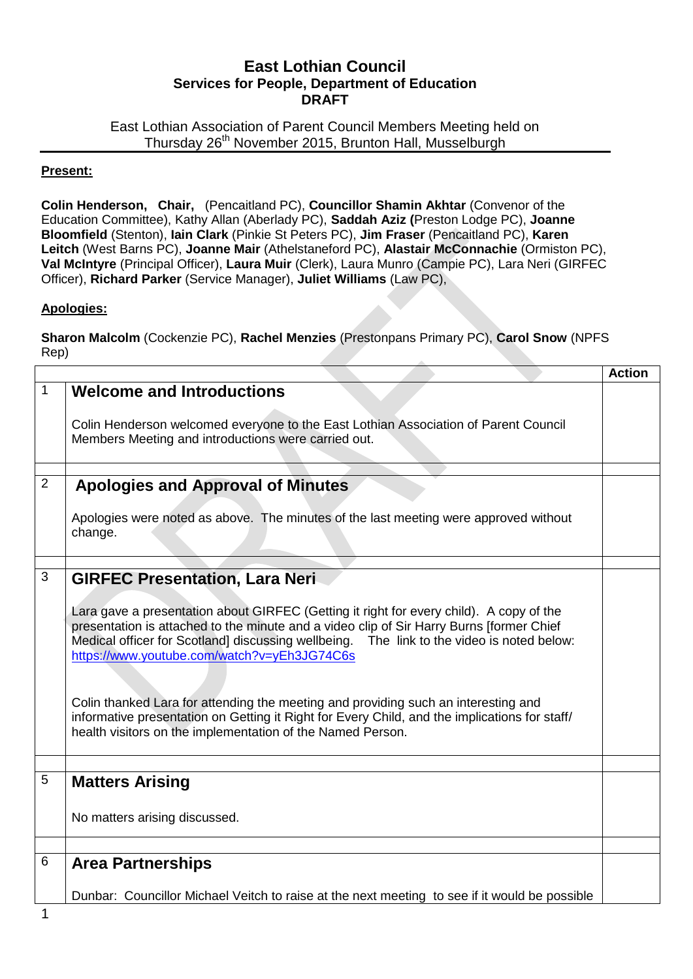## **East Lothian Council Services for People, Department of Education DRAFT**

East Lothian Association of Parent Council Members Meeting held on Thursday 26<sup>th</sup> November 2015, Brunton Hall, Musselburgh

## **Present:**

**Colin Henderson, Chair,** (Pencaitland PC), **Councillor Shamin Akhtar** (Convenor of the Education Committee), Kathy Allan (Aberlady PC), **Saddah Aziz (**Preston Lodge PC), **Joanne Bloomfield** (Stenton), **Iain Clark** (Pinkie St Peters PC), **Jim Fraser** (Pencaitland PC), **Karen Leitch** (West Barns PC), **Joanne Mair** (Athelstaneford PC), **Alastair McConnachie** (Ormiston PC), **Val McIntyre** (Principal Officer), **Laura Muir** (Clerk), Laura Munro (Campie PC), Lara Neri (GIRFEC Officer), **Richard Parker** (Service Manager), **Juliet Williams** (Law PC),

## **Apologies:**

**Sharon Malcolm** (Cockenzie PC), **Rachel Menzies** (Prestonpans Primary PC), **Carol Snow** (NPFS Rep)

|                                                                                                                                                                                                                                                                                                                                                                                                                                                                                                                                                                                      | <b>Action</b>                                                                     |
|--------------------------------------------------------------------------------------------------------------------------------------------------------------------------------------------------------------------------------------------------------------------------------------------------------------------------------------------------------------------------------------------------------------------------------------------------------------------------------------------------------------------------------------------------------------------------------------|-----------------------------------------------------------------------------------|
| <b>Welcome and Introductions</b><br>Colin Henderson welcomed everyone to the East Lothian Association of Parent Council<br>Members Meeting and introductions were carried out.                                                                                                                                                                                                                                                                                                                                                                                                       |                                                                                   |
|                                                                                                                                                                                                                                                                                                                                                                                                                                                                                                                                                                                      |                                                                                   |
|                                                                                                                                                                                                                                                                                                                                                                                                                                                                                                                                                                                      |                                                                                   |
| Apologies were noted as above. The minutes of the last meeting were approved without<br>change.                                                                                                                                                                                                                                                                                                                                                                                                                                                                                      |                                                                                   |
|                                                                                                                                                                                                                                                                                                                                                                                                                                                                                                                                                                                      |                                                                                   |
| Lara gave a presentation about GIRFEC (Getting it right for every child). A copy of the<br>presentation is attached to the minute and a video clip of Sir Harry Burns [former Chief<br>Medical officer for Scotland] discussing wellbeing. The link to the video is noted below:<br>https://www.youtube.com/watch?v=yEh3JG74C6s<br>Colin thanked Lara for attending the meeting and providing such an interesting and<br>informative presentation on Getting it Right for Every Child, and the implications for staff/<br>health visitors on the implementation of the Named Person. |                                                                                   |
|                                                                                                                                                                                                                                                                                                                                                                                                                                                                                                                                                                                      |                                                                                   |
| <b>Matters Arising</b>                                                                                                                                                                                                                                                                                                                                                                                                                                                                                                                                                               |                                                                                   |
| No matters arising discussed.                                                                                                                                                                                                                                                                                                                                                                                                                                                                                                                                                        |                                                                                   |
|                                                                                                                                                                                                                                                                                                                                                                                                                                                                                                                                                                                      |                                                                                   |
| <b>Area Partnerships</b>                                                                                                                                                                                                                                                                                                                                                                                                                                                                                                                                                             |                                                                                   |
| Dunbar: Councillor Michael Veitch to raise at the next meeting to see if it would be possible                                                                                                                                                                                                                                                                                                                                                                                                                                                                                        |                                                                                   |
|                                                                                                                                                                                                                                                                                                                                                                                                                                                                                                                                                                                      | <b>Apologies and Approval of Minutes</b><br><b>GIRFEC Presentation, Lara Neri</b> |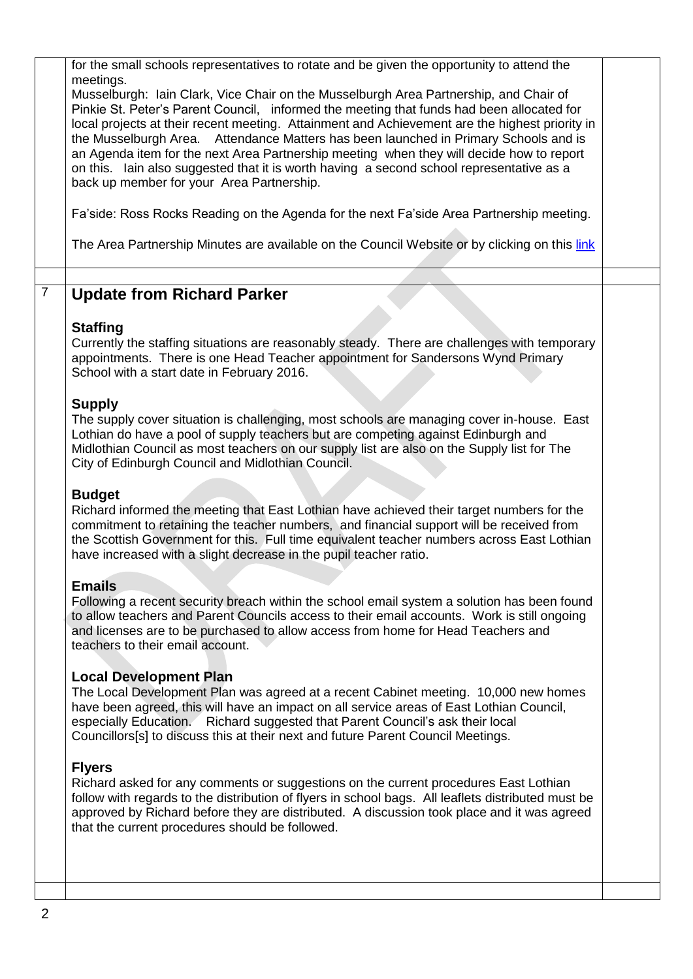|                | for the small schools representatives to rotate and be given the opportunity to attend the<br>meetings.<br>Musselburgh: Iain Clark, Vice Chair on the Musselburgh Area Partnership, and Chair of<br>Pinkie St. Peter's Parent Council, informed the meeting that funds had been allocated for<br>local projects at their recent meeting. Attainment and Achievement are the highest priority in<br>the Musselburgh Area. Attendance Matters has been launched in Primary Schools and is<br>an Agenda item for the next Area Partnership meeting when they will decide how to report<br>on this. Iain also suggested that it is worth having a second school representative as a<br>back up member for your Area Partnership.<br>Fa'side: Ross Rocks Reading on the Agenda for the next Fa'side Area Partnership meeting. |  |
|----------------|--------------------------------------------------------------------------------------------------------------------------------------------------------------------------------------------------------------------------------------------------------------------------------------------------------------------------------------------------------------------------------------------------------------------------------------------------------------------------------------------------------------------------------------------------------------------------------------------------------------------------------------------------------------------------------------------------------------------------------------------------------------------------------------------------------------------------|--|
|                | The Area Partnership Minutes are available on the Council Website or by clicking on this link                                                                                                                                                                                                                                                                                                                                                                                                                                                                                                                                                                                                                                                                                                                            |  |
| $\overline{7}$ | <b>Update from Richard Parker</b>                                                                                                                                                                                                                                                                                                                                                                                                                                                                                                                                                                                                                                                                                                                                                                                        |  |
|                | <b>Staffing</b><br>Currently the staffing situations are reasonably steady. There are challenges with temporary<br>appointments. There is one Head Teacher appointment for Sandersons Wynd Primary<br>School with a start date in February 2016.                                                                                                                                                                                                                                                                                                                                                                                                                                                                                                                                                                         |  |
|                | <b>Supply</b><br>The supply cover situation is challenging, most schools are managing cover in-house. East<br>Lothian do have a pool of supply teachers but are competing against Edinburgh and<br>Midlothian Council as most teachers on our supply list are also on the Supply list for The<br>City of Edinburgh Council and Midlothian Council.                                                                                                                                                                                                                                                                                                                                                                                                                                                                       |  |
|                | <b>Budget</b><br>Richard informed the meeting that East Lothian have achieved their target numbers for the<br>commitment to retaining the teacher numbers, and financial support will be received from<br>the Scottish Government for this. Full time equivalent teacher numbers across East Lothian<br>have increased with a slight decrease in the pupil teacher ratio.                                                                                                                                                                                                                                                                                                                                                                                                                                                |  |
|                | <b>Emails</b>                                                                                                                                                                                                                                                                                                                                                                                                                                                                                                                                                                                                                                                                                                                                                                                                            |  |
|                | Following a recent security breach within the school email system a solution has been found<br>to allow teachers and Parent Councils access to their email accounts. Work is still ongoing<br>and licenses are to be purchased to allow access from home for Head Teachers and<br>teachers to their email account.                                                                                                                                                                                                                                                                                                                                                                                                                                                                                                       |  |
|                | <b>Local Development Plan</b><br>The Local Development Plan was agreed at a recent Cabinet meeting. 10,000 new homes<br>have been agreed, this will have an impact on all service areas of East Lothian Council,<br>especially Education. Richard suggested that Parent Council's ask their local<br>Councillors[s] to discuss this at their next and future Parent Council Meetings.                                                                                                                                                                                                                                                                                                                                                                                                                                    |  |
|                | <b>Flyers</b><br>Richard asked for any comments or suggestions on the current procedures East Lothian<br>follow with regards to the distribution of flyers in school bags. All leaflets distributed must be<br>approved by Richard before they are distributed. A discussion took place and it was agreed<br>that the current procedures should be followed.                                                                                                                                                                                                                                                                                                                                                                                                                                                             |  |
|                |                                                                                                                                                                                                                                                                                                                                                                                                                                                                                                                                                                                                                                                                                                                                                                                                                          |  |
|                |                                                                                                                                                                                                                                                                                                                                                                                                                                                                                                                                                                                                                                                                                                                                                                                                                          |  |
| າ              |                                                                                                                                                                                                                                                                                                                                                                                                                                                                                                                                                                                                                                                                                                                                                                                                                          |  |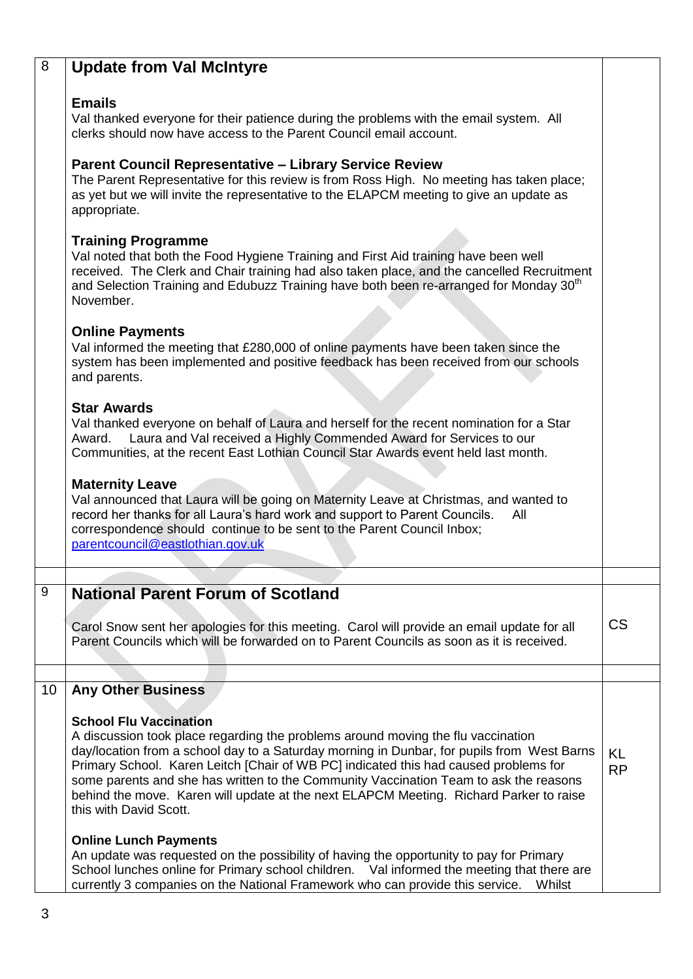| 8              | <b>Update from Val McIntyre</b>                                                                                                                                                                                                                                                                                                                                                                                                                                                                                      |                        |
|----------------|----------------------------------------------------------------------------------------------------------------------------------------------------------------------------------------------------------------------------------------------------------------------------------------------------------------------------------------------------------------------------------------------------------------------------------------------------------------------------------------------------------------------|------------------------|
|                | <b>Emails</b><br>Val thanked everyone for their patience during the problems with the email system. All<br>clerks should now have access to the Parent Council email account.                                                                                                                                                                                                                                                                                                                                        |                        |
|                | <b>Parent Council Representative - Library Service Review</b><br>The Parent Representative for this review is from Ross High. No meeting has taken place;<br>as yet but we will invite the representative to the ELAPCM meeting to give an update as<br>appropriate.                                                                                                                                                                                                                                                 |                        |
|                | <b>Training Programme</b><br>Val noted that both the Food Hygiene Training and First Aid training have been well<br>received. The Clerk and Chair training had also taken place, and the cancelled Recruitment<br>and Selection Training and Edubuzz Training have both been re-arranged for Monday 30 <sup>th</sup><br>November.                                                                                                                                                                                    |                        |
|                | <b>Online Payments</b><br>Val informed the meeting that £280,000 of online payments have been taken since the<br>system has been implemented and positive feedback has been received from our schools<br>and parents.                                                                                                                                                                                                                                                                                                |                        |
|                | <b>Star Awards</b><br>Val thanked everyone on behalf of Laura and herself for the recent nomination for a Star<br>Laura and Val received a Highly Commended Award for Services to our<br>Award.<br>Communities, at the recent East Lothian Council Star Awards event held last month.                                                                                                                                                                                                                                |                        |
|                | <b>Maternity Leave</b><br>Val announced that Laura will be going on Maternity Leave at Christmas, and wanted to<br>record her thanks for all Laura's hard work and support to Parent Councils.<br>All<br>correspondence should continue to be sent to the Parent Council Inbox;<br>parentcouncil@eastlothian.gov.uk                                                                                                                                                                                                  |                        |
| $\overline{9}$ | <b>National Parent Forum of Scotland</b>                                                                                                                                                                                                                                                                                                                                                                                                                                                                             |                        |
|                | Carol Snow sent her apologies for this meeting. Carol will provide an email update for all<br>Parent Councils which will be forwarded on to Parent Councils as soon as it is received.                                                                                                                                                                                                                                                                                                                               | <b>CS</b>              |
| 10             | <b>Any Other Business</b>                                                                                                                                                                                                                                                                                                                                                                                                                                                                                            |                        |
|                | <b>School Flu Vaccination</b><br>A discussion took place regarding the problems around moving the flu vaccination<br>day/location from a school day to a Saturday morning in Dunbar, for pupils from West Barns<br>Primary School. Karen Leitch [Chair of WB PC] indicated this had caused problems for<br>some parents and she has written to the Community Vaccination Team to ask the reasons<br>behind the move. Karen will update at the next ELAPCM Meeting. Richard Parker to raise<br>this with David Scott. | <b>KL</b><br><b>RP</b> |
|                | <b>Online Lunch Payments</b><br>An update was requested on the possibility of having the opportunity to pay for Primary<br>School lunches online for Primary school children. Val informed the meeting that there are<br>currently 3 companies on the National Framework who can provide this service.<br>Whilst                                                                                                                                                                                                     |                        |